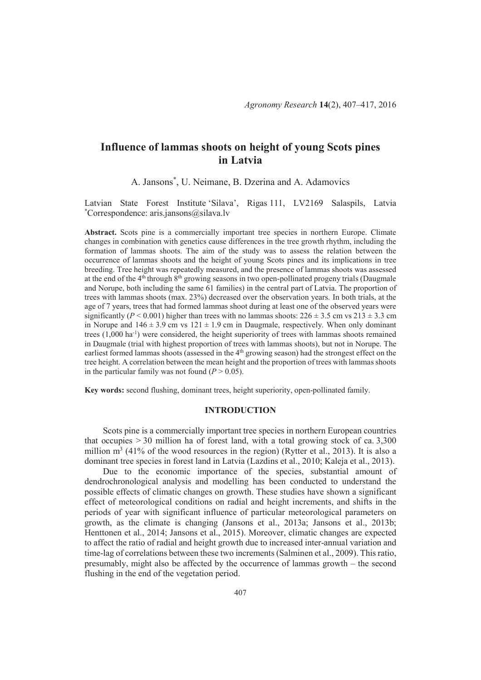# **Influence of lammas shoots on height of young Scots pines in Latvia**

A. Jansons\* , U. Neimane, B. Dzerina and A. Adamovics

Latvian State Forest Institute 'Silava', Rigas 111, LV2169 Salaspils, Latvia \*Correspondence: aris.jansons@silava.lv

**Abstract.** Scots pine is a commercially important tree species in northern Europe. Climate changes in combination with genetics cause differences in the tree growth rhythm, including the formation of lammas shoots. The aim of the study was to assess the relation between the occurrence of lammas shoots and the height of young Scots pines and its implications in tree breeding. Tree height was repeatedly measured, and the presence of lammas shoots was assessed at the end of the 4th through 8th growing seasons in two open-pollinated progeny trials (Daugmale and Norupe, both including the same 61 families) in the central part of Latvia. The proportion of trees with lammas shoots (max. 23%) decreased over the observation years. In both trials, at the age of 7 years, trees that had formed lammas shoot during at least one of the observed years were significantly ( $P < 0.001$ ) higher than trees with no lammas shoots:  $226 \pm 3.5$  cm vs  $213 \pm 3.3$  cm in Norupe and  $146 \pm 3.9$  cm vs  $121 \pm 1.9$  cm in Daugmale, respectively. When only dominant trees (1,000 ha-1) were considered, the height superiority of trees with lammas shoots remained in Daugmale (trial with highest proportion of trees with lammas shoots), but not in Norupe. The earliest formed lammas shoots (assessed in the 4<sup>th</sup> growing season) had the strongest effect on the tree height. A correlation between the mean height and the proportion of trees with lammas shoots in the particular family was not found  $(P > 0.05)$ .

**Key words:** second flushing, dominant trees, height superiority, open-pollinated family.

## **INTRODUCTION**

Scots pine is a commercially important tree species in northern European countries that occupies > 30 million ha of forest land, with a total growing stock of ca. 3,300 million  $m<sup>3</sup>$  (41% of the wood resources in the region) (Rytter et al., 2013). It is also a dominant tree species in forest land in Latvia (Lazdins et al., 2010; Kaleja et al., 2013).

Due to the economic importance of the species, substantial amount of dendrochronological analysis and modelling has been conducted to understand the possible effects of climatic changes on growth. These studies have shown a significant effect of meteorological conditions on radial and height increments, and shifts in the periods of year with significant influence of particular meteorological parameters on growth, as the climate is changing (Jansons et al., 2013a; Jansons et al., 2013b; Henttonen et al., 2014; Jansons et al., 2015). Moreover, climatic changes are expected to affect the ratio of radial and height growth due to increased inter-annual variation and time-lag of correlations between these two increments (Salminen et al., 2009). This ratio, presumably, might also be affected by the occurrence of lammas growth – the second flushing in the end of the vegetation period.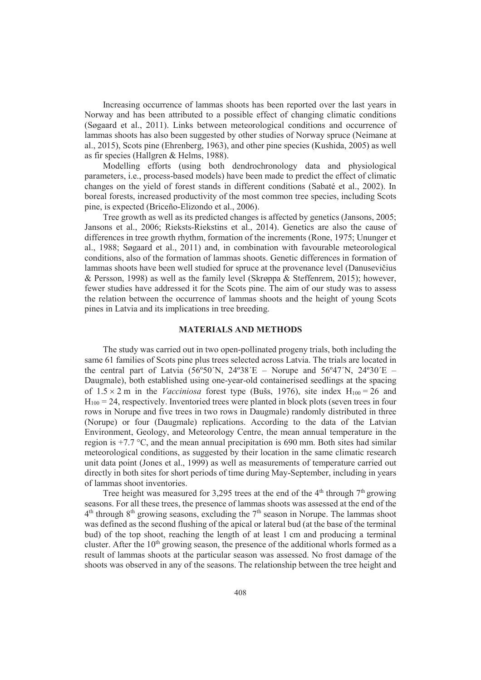Increasing occurrence of lammas shoots has been reported over the last years in Norway and has been attributed to a possible effect of changing climatic conditions (Søgaard et al., 2011). Links between meteorological conditions and occurrence of lammas shoots has also been suggested by other studies of Norway spruce (Neimane at al., 2015), Scots pine (Ehrenberg, 1963), and other pine species (Kushida, 2005) as well as fir species (Hallgren & Helms, 1988).

Modelling efforts (using both dendrochronology data and physiological parameters, i.e., process-based models) have been made to predict the effect of climatic changes on the yield of forest stands in different conditions (Sabaté et al., 2002). In boreal forests, increased productivity of the most common tree species, including Scots pine, is expected (Briceño-Elizondo et al., 2006).

Tree growth as well as its predicted changes is affected by genetics (Jansons, 2005; Jansons et al., 2006; Rieksts-Riekstins et al., 2014). Genetics are also the cause of differences in tree growth rhythm, formation of the increments (Rone, 1975; Ununger et al., 1988; Søgaard et al., 2011) and, in combination with favourable meteorological conditions, also of the formation of lammas shoots. Genetic differences in formation of lammas shoots have been well studied for spruce at the provenance level (Danusevicius & Persson, 1998) as well as the family level (Skrøppa & Steffenrem, 2015); however, fewer studies have addressed it for the Scots pine. The aim of our study was to assess the relation between the occurrence of lammas shoots and the height of young Scots pines in Latvia and its implications in tree breeding.

#### **MATERIALS AND METHODS**

The study was carried out in two open-pollinated progeny trials, both including the same 61 families of Scots pine plus trees selected across Latvia. The trials are located in the central part of Latvia (56°50´N, 24°38′E – Norupe and 56°47′N, 24°30′E – Daugmale), both established using one-year-old containerised seedlings at the spacing of  $1.5 \times 2$  m in the *Vacciniosa* forest type (Bušs, 1976), site index  $H_{100} = 26$  and  $H_{100} = 24$ , respectively. Inventoried trees were planted in block plots (seven trees in four rows in Norupe and five trees in two rows in Daugmale) randomly distributed in three (Norupe) or four (Daugmale) replications. According to the data of the Latvian Environment, Geology, and Meteorology Centre, the mean annual temperature in the region is +7.7 °C, and the mean annual precipitation is 690 mm. Both sites had similar meteorological conditions, as suggested by their location in the same climatic research unit data point (Jones et al., 1999) as well as measurements of temperature carried out directly in both sites for short periods of time during May-September, including in years of lammas shoot inventories.

Tree height was measured for 3,295 trees at the end of the  $4<sup>th</sup>$  through  $7<sup>th</sup>$  growing seasons. For all these trees, the presence of lammas shoots was assessed at the end of the  $4<sup>th</sup>$  through  $8<sup>th</sup>$  growing seasons, excluding the  $7<sup>th</sup>$  season in Norupe. The lammas shoot was defined as the second flushing of the apical or lateral bud (at the base of the terminal bud) of the top shoot, reaching the length of at least 1 cm and producing a terminal cluster. After the  $10<sup>th</sup>$  growing season, the presence of the additional whorls formed as a result of lammas shoots at the particular season was assessed. No frost damage of the shoots was observed in any of the seasons. The relationship between the tree height and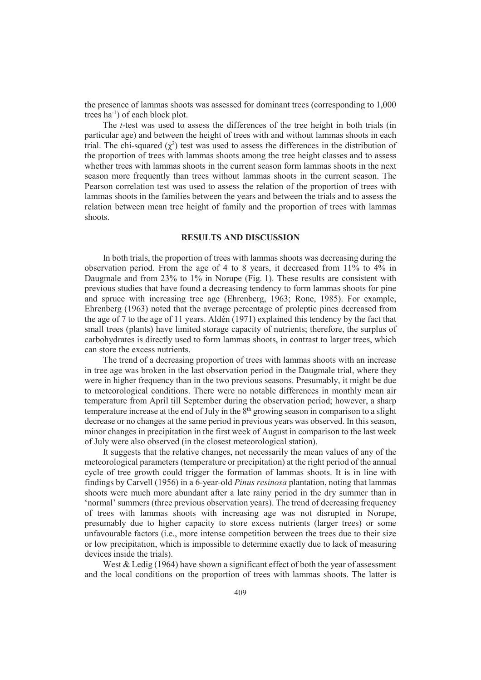the presence of lammas shoots was assessed for dominant trees (corresponding to 1,000 trees ha-1) of each block plot.

The *t*-test was used to assess the differences of the tree height in both trials (in particular age) and between the height of trees with and without lammas shoots in each trial. The chi-squared  $(\chi^2)$  test was used to assess the differences in the distribution of the proportion of trees with lammas shoots among the tree height classes and to assess whether trees with lammas shoots in the current season form lammas shoots in the next season more frequently than trees without lammas shoots in the current season. The Pearson correlation test was used to assess the relation of the proportion of trees with lammas shoots in the families between the years and between the trials and to assess the relation between mean tree height of family and the proportion of trees with lammas shoots.

## **RESULTS AND DISCUSSION**

In both trials, the proportion of trees with lammas shoots was decreasing during the observation period. From the age of 4 to 8 years, it decreased from 11% to 4% in Daugmale and from 23% to 1% in Norupe (Fig. 1). These results are consistent with previous studies that have found a decreasing tendency to form lammas shoots for pine and spruce with increasing tree age (Ehrenberg, 1963; Rone, 1985). For example, Ehrenberg (1963) noted that the average percentage of proleptic pines decreased from the age of 7 to the age of 11 years. Aldén (1971) explained this tendency by the fact that small trees (plants) have limited storage capacity of nutrients; therefore, the surplus of carbohydrates is directly used to form lammas shoots, in contrast to larger trees, which can store the excess nutrients.

The trend of a decreasing proportion of trees with lammas shoots with an increase in tree age was broken in the last observation period in the Daugmale trial, where they were in higher frequency than in the two previous seasons. Presumably, it might be due to meteorological conditions. There were no notable differences in monthly mean air temperature from April till September during the observation period; however, a sharp temperature increase at the end of July in the  $8<sup>th</sup>$  growing season in comparison to a slight decrease or no changes at the same period in previous years was observed. In this season, minor changes in precipitation in the first week of August in comparison to the last week of July were also observed (in the closest meteorological station).

It suggests that the relative changes, not necessarily the mean values of any of the meteorological parameters (temperature or precipitation) at the right period of the annual cycle of tree growth could trigger the formation of lammas shoots. It is in line with findings by Carvell (1956) in a 6-year-old *Pinus resinosa* plantation, noting that lammas shoots were much more abundant after a late rainy period in the dry summer than in 'normal' summers (three previous observation years). The trend of decreasing frequency of trees with lammas shoots with increasing age was not disrupted in Norupe, presumably due to higher capacity to store excess nutrients (larger trees) or some unfavourable factors (i.e., more intense competition between the trees due to their size or low precipitation, which is impossible to determine exactly due to lack of measuring devices inside the trials).

West & Ledig (1964) have shown a significant effect of both the year of assessment and the local conditions on the proportion of trees with lammas shoots. The latter is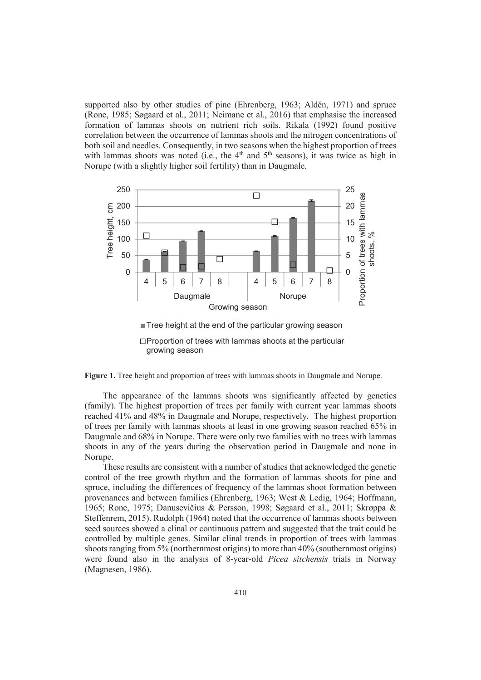supported also by other studies of pine (Ehrenberg, 1963; Aldén, 1971) and spruce (Rone, 1985; Søgaard et al., 2011; Neimane et al., 2016) that emphasise the increased formation of lammas shoots on nutrient rich soils. Rikala (1992) found positive correlation between the occurrence of lammas shoots and the nitrogen concentrations of both soil and needles. Consequently, in two seasons when the highest proportion of trees with lammas shoots was noted (i.e., the  $4<sup>th</sup>$  and  $5<sup>th</sup>$  seasons), it was twice as high in Norupe (with a slightly higher soil fertility) than in Daugmale.



 $\Box$  Proportion of trees with lammas shoots at the particular growing season

**Figure 1.** Tree height and proportion of trees with lammas shoots in Daugmale and Norupe.

The appearance of the lammas shoots was significantly affected by genetics (family). The highest proportion of trees per family with current year lammas shoots reached 41% and 48% in Daugmale and Norupe, respectively. The highest proportion of trees per family with lammas shoots at least in one growing season reached 65% in Daugmale and 68% in Norupe. There were only two families with no trees with lammas shoots in any of the years during the observation period in Daugmale and none in Norupe.

These results are consistent with a number of studies that acknowledged the genetic control of the tree growth rhythm and the formation of lammas shoots for pine and spruce, including the differences of frequency of the lammas shoot formation between provenances and between families (Ehrenberg, 1963; West & Ledig, 1964; Hoffmann, 1965; Rone, 1975; Danusevičius & Persson, 1998; Søgaard et al., 2011; Skrøppa & Steffenrem, 2015). Rudolph (1964) noted that the occurrence of lammas shoots between seed sources showed a clinal or continuous pattern and suggested that the trait could be controlled by multiple genes. Similar clinal trends in proportion of trees with lammas shoots ranging from 5% (northernmost origins) to more than 40% (southernmost origins) were found also in the analysis of 8-year-old *Picea sitchensis* trials in Norway (Magnesen, 1986).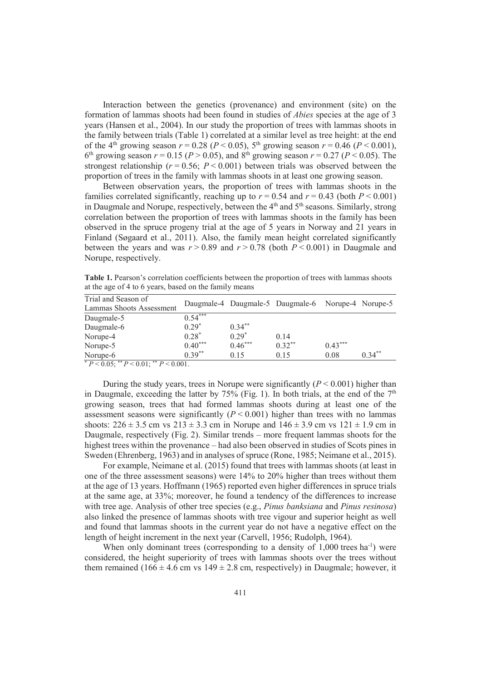Interaction between the genetics (provenance) and environment (site) on the formation of lammas shoots had been found in studies of *Abies* species at the age of 3 years (Hansen et al., 2004). In our study the proportion of trees with lammas shoots in the family between trials (Table 1) correlated at a similar level as tree height: at the end of the 4<sup>th</sup> growing season  $r = 0.28$  ( $P < 0.05$ ), 5<sup>th</sup> growing season  $r = 0.46$  ( $P < 0.001$ ), 6<sup>th</sup> growing season  $r = 0.15$  ( $P > 0.05$ ), and 8<sup>th</sup> growing season  $r = 0.27$  ( $P < 0.05$ ). The strongest relationship ( $r = 0.56$ ;  $P \le 0.001$ ) between trials was observed between the proportion of trees in the family with lammas shoots in at least one growing season.

Between observation years, the proportion of trees with lammas shoots in the families correlated significantly, reaching up to  $r = 0.54$  and  $r = 0.43$  (both  $P \le 0.001$ ) in Daugmale and Norupe, respectively, between the  $4<sup>th</sup>$  and  $5<sup>th</sup>$  seasons. Similarly, strong correlation between the proportion of trees with lammas shoots in the family has been observed in the spruce progeny trial at the age of 5 years in Norway and 21 years in Finland (Søgaard et al., 2011). Also, the family mean height correlated significantly between the years and was  $r > 0.89$  and  $r > 0.78$  (both  $P < 0.001$ ) in Daugmale and Norupe, respectively.

**Table 1.** Pearson's correlation coefficients between the proportion of trees with lammas shoots at the age of 4 to 6 years, based on the family means

| Trial and Season of                                     |           |           | Daugmale-4 Daugmale-5 Daugmale-6 Norupe-4 Norupe-5 |           |           |
|---------------------------------------------------------|-----------|-----------|----------------------------------------------------|-----------|-----------|
| Lammas Shoots Assessment                                |           |           |                                                    |           |           |
| Daugmale-5                                              | $0.54***$ |           |                                                    |           |           |
| Daugmale-6                                              | $0.29*$   | $0.34***$ |                                                    |           |           |
| Norupe-4                                                | $0.28*$   | $0.29*$   | 0.14                                               |           |           |
| Norupe-5                                                | $0.40***$ | $0.46***$ | $0.32***$                                          | $0.43***$ |           |
| Norupe-6                                                | $0.39**$  | 0.15      | 0.15                                               | 0.08      | $0.34***$ |
| $P_{D} > 0.05$ , ${}^{**}D > 0.01$ , ${}^{**}D > 0.001$ |           |           |                                                    |           |           |

 $P < 0.05$ ; \*\*  $P < 0.01$ ; \*\*  $P < 0.001$ .

During the study years, trees in Norupe were significantly  $(P < 0.001)$  higher than in Daugmale, exceeding the latter by  $75\%$  (Fig. 1). In both trials, at the end of the  $7<sup>th</sup>$ growing season, trees that had formed lammas shoots during at least one of the assessment seasons were significantly  $(P < 0.001)$  higher than trees with no lammas shoots:  $226 \pm 3.5$  cm vs  $213 \pm 3.3$  cm in Norupe and  $146 \pm 3.9$  cm vs  $121 \pm 1.9$  cm in Daugmale, respectively (Fig. 2). Similar trends – more frequent lammas shoots for the highest trees within the provenance – had also been observed in studies of Scots pines in Sweden (Ehrenberg, 1963) and in analyses of spruce (Rone, 1985; Neimane et al., 2015).

For example, Neimane et al. (2015) found that trees with lammas shoots (at least in one of the three assessment seasons) were 14% to 20% higher than trees without them at the age of 13 years. Hoffmann (1965) reported even higher differences in spruce trials at the same age, at 33%; moreover, he found a tendency of the differences to increase with tree age. Analysis of other tree species (e.g., *Pinus banksiana* and *Pinus resinosa*) also linked the presence of lammas shoots with tree vigour and superior height as well and found that lammas shoots in the current year do not have a negative effect on the length of height increment in the next year (Carvell, 1956; Rudolph, 1964).

When only dominant trees (corresponding to a density of  $1,000$  trees ha<sup>-1</sup>) were considered, the height superiority of trees with lammas shoots over the trees without them remained (166  $\pm$  4.6 cm vs 149  $\pm$  2.8 cm, respectively) in Daugmale; however, it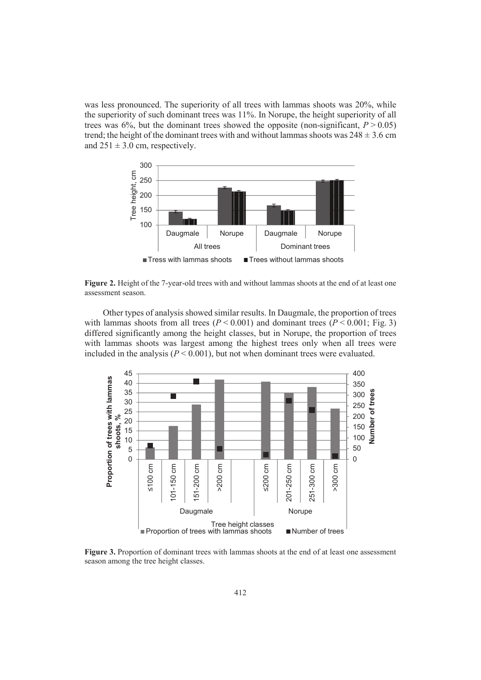was less pronounced. The superiority of all trees with lammas shoots was 20%, while the superiority of such dominant trees was 11%. In Norupe, the height superiority of all trees was  $6\%$ , but the dominant trees showed the opposite (non-significant,  $P > 0.05$ ) trend; the height of the dominant trees with and without lammas shoots was  $248 \pm 3.6$  cm and  $251 \pm 3.0$  cm, respectively.



**Figure 2.** Height of the 7-year-old trees with and without lammas shoots at the end of at least one assessment season.

Other types of analysis showed similar results. In Daugmale, the proportion of trees with lammas shoots from all trees  $(P < 0.001)$  and dominant trees  $(P < 0.001$ ; Fig. 3) differed significantly among the height classes, but in Norupe, the proportion of trees with lammas shoots was largest among the highest trees only when all trees were included in the analysis  $(P < 0.001)$ , but not when dominant trees were evaluated.



**Figure 3.** Proportion of dominant trees with lammas shoots at the end of at least one assessment season among the tree height classes.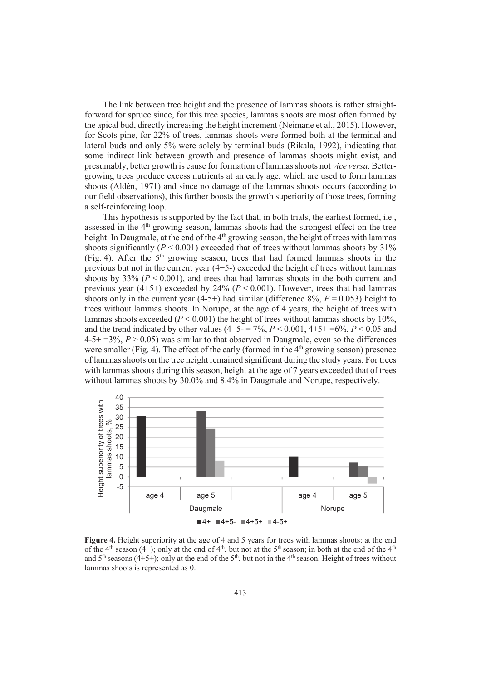The link between tree height and the presence of lammas shoots is rather straightforward for spruce since, for this tree species, lammas shoots are most often formed by the apical bud, directly increasing the height increment (Neimane et al., 2015). However, for Scots pine, for 22% of trees, lammas shoots were formed both at the terminal and lateral buds and only 5% were solely by terminal buds (Rikala, 1992), indicating that some indirect link between growth and presence of lammas shoots might exist, and presumably, better growth is cause for formation of lammas shoots not *vice versa*. Bettergrowing trees produce excess nutrients at an early age, which are used to form lammas shoots (Aldén, 1971) and since no damage of the lammas shoots occurs (according to our field observations), this further boosts the growth superiority of those trees, forming a self-reinforcing loop.

This hypothesis is supported by the fact that, in both trials, the earliest formed, i.e., assessed in the  $4<sup>th</sup>$  growing season, lammas shoots had the strongest effect on the tree height. In Daugmale, at the end of the  $4<sup>th</sup>$  growing season, the height of trees with lammas shoots significantly  $(P < 0.001)$  exceeded that of trees without lammas shoots by 31% (Fig. 4). After the  $5<sup>th</sup>$  growing season, trees that had formed lammas shoots in the previous but not in the current year (4+5-) exceeded the height of trees without lammas shoots by  $33\%$  ( $P < 0.001$ ), and trees that had lammas shoots in the both current and previous year  $(4+5+)$  exceeded by  $24\%$   $(P < 0.001)$ . However, trees that had lammas shoots only in the current year  $(4-5+)$  had similar (difference  $8\%$ ,  $P = 0.053$ ) height to trees without lammas shoots. In Norupe, at the age of 4 years, the height of trees with lammas shoots exceeded  $(P < 0.001)$  the height of trees without lammas shoots by 10%. and the trend indicated by other values  $(4+5-7\%, P < 0.001, 4+5+1\%)$ ,  $P < 0.05$  and  $4-5+3\%, P > 0.05$  was similar to that observed in Daugmale, even so the differences were smaller (Fig. 4). The effect of the early (formed in the  $4<sup>th</sup>$  growing season) presence of lammas shoots on the tree height remained significant during the study years. For trees with lammas shoots during this season, height at the age of 7 years exceeded that of trees without lammas shoots by 30.0% and 8.4% in Daugmale and Norupe, respectively.



**Figure 4.** Height superiority at the age of 4 and 5 years for trees with lammas shoots: at the end of the 4<sup>th</sup> season (4+); only at the end of  $4<sup>th</sup>$ , but not at the 5<sup>th</sup> season; in both at the end of the  $4<sup>th</sup>$ and  $5<sup>th</sup>$  seasons (4+5+); only at the end of the  $5<sup>th</sup>$ , but not in the 4<sup>th</sup> season. Height of trees without lammas shoots is represented as 0.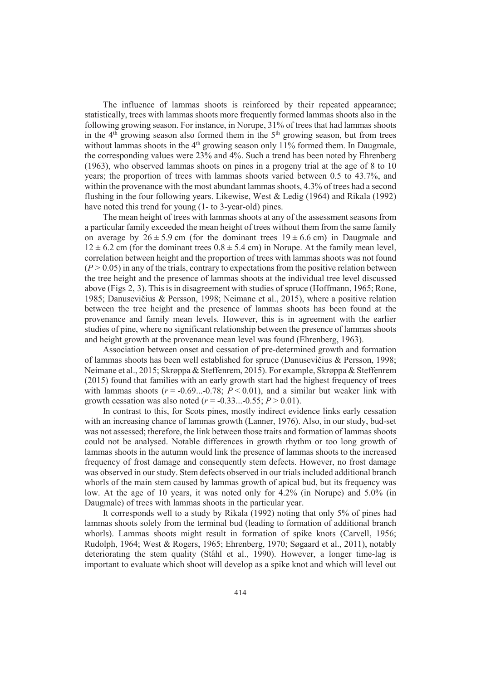The influence of lammas shoots is reinforced by their repeated appearance; statistically, trees with lammas shoots more frequently formed lammas shoots also in the following growing season. For instance, in Norupe, 31% of trees that had lammas shoots in the  $4<sup>th</sup>$  growing season also formed them in the  $5<sup>th</sup>$  growing season, but from trees without lammas shoots in the  $4<sup>th</sup>$  growing season only 11% formed them. In Daugmale, the corresponding values were 23% and 4%. Such a trend has been noted by Ehrenberg (1963), who observed lammas shoots on pines in a progeny trial at the age of 8 to 10 years; the proportion of trees with lammas shoots varied between 0.5 to 43.7%, and within the provenance with the most abundant lammas shoots, 4.3% of trees had a second flushing in the four following years. Likewise, West & Ledig (1964) and Rikala (1992) have noted this trend for young (1- to 3-year-old) pines.

The mean height of trees with lammas shoots at any of the assessment seasons from a particular family exceeded the mean height of trees without them from the same family on average by  $26 \pm 5.9$  cm (for the dominant trees  $19 \pm 6.6$  cm) in Daugmale and  $12 \pm 6.2$  cm (for the dominant trees  $0.8 \pm 5.4$  cm) in Norupe. At the family mean level, correlation between height and the proportion of trees with lammas shoots was not found  $(P > 0.05)$  in any of the trials, contrary to expectations from the positive relation between the tree height and the presence of lammas shoots at the individual tree level discussed above (Figs 2, 3). This is in disagreement with studies of spruce (Hoffmann, 1965; Rone, 1985; Danusevičius & Persson, 1998; Neimane et al., 2015), where a positive relation between the tree height and the presence of lammas shoots has been found at the provenance and family mean levels. However, this is in agreement with the earlier studies of pine, where no significant relationship between the presence of lammas shoots and height growth at the provenance mean level was found (Ehrenberg, 1963).

Association between onset and cessation of pre-determined growth and formation of lammas shoots has been well established for spruce (Danusevičius  $&$  Persson, 1998; Neimane et al., 2015; Skrøppa & Steffenrem, 2015). For example, Skrøppa & Steffenrem (2015) found that families with an early growth start had the highest frequency of trees with lammas shoots  $(r = -0.69... -0.78; P \le 0.01)$ , and a similar but weaker link with growth cessation was also noted ( $r = -0.33...-0.55$ ;  $P > 0.01$ ).

In contrast to this, for Scots pines, mostly indirect evidence links early cessation with an increasing chance of lammas growth (Lanner, 1976). Also, in our study, bud-set was not assessed; therefore, the link between those traits and formation of lammas shoots could not be analysed. Notable differences in growth rhythm or too long growth of lammas shoots in the autumn would link the presence of lammas shoots to the increased frequency of frost damage and consequently stem defects. However, no frost damage was observed in our study. Stem defects observed in our trials included additional branch whorls of the main stem caused by lammas growth of apical bud, but its frequency was low. At the age of 10 years, it was noted only for 4.2% (in Norupe) and 5.0% (in Daugmale) of trees with lammas shoots in the particular year.

It corresponds well to a study by Rikala (1992) noting that only 5% of pines had lammas shoots solely from the terminal bud (leading to formation of additional branch whorls). Lammas shoots might result in formation of spike knots (Carvell, 1956; Rudolph, 1964; West & Rogers, 1965; Ehrenberg, 1970; Søgaard et al., 2011), notably deteriorating the stem quality (Ståhl et al., 1990). However, a longer time-lag is important to evaluate which shoot will develop as a spike knot and which will level out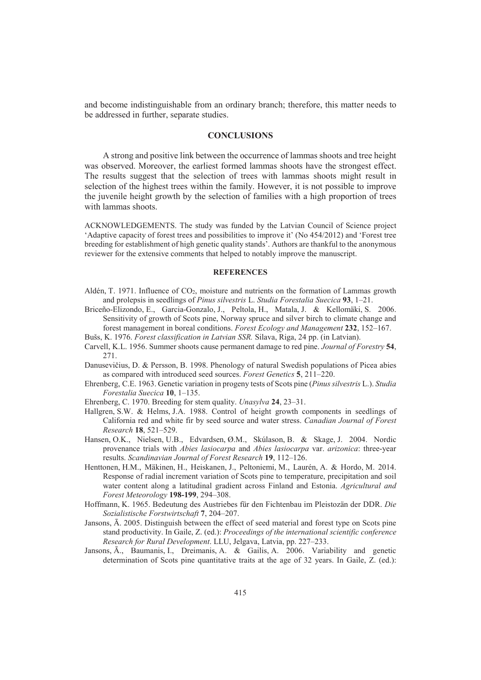and become indistinguishable from an ordinary branch; therefore, this matter needs to be addressed in further, separate studies.

### **CONCLUSIONS**

A strong and positive link between the occurrence of lammas shoots and tree height was observed. Moreover, the earliest formed lammas shoots have the strongest effect. The results suggest that the selection of trees with lammas shoots might result in selection of the highest trees within the family. However, it is not possible to improve the juvenile height growth by the selection of families with a high proportion of trees with lammas shoots.

ACKNOWLEDGEMENTS. The study was funded by the Latvian Council of Science project 'Adaptive capacity of forest trees and possibilities to improve it' (No 454/2012) and 'Forest tree breeding for establishment of high genetic quality stands'. Authors are thankful to the anonymous reviewer for the extensive comments that helped to notably improve the manuscript.

### **REFERENCES**

- Aldén, T. 1971. Influence of CO<sub>2</sub>, moisture and nutrients on the formation of Lammas growth and prolepsis in seedlings of *Pinus silvestris* L. *Studia Forestalia Suecica* **93**, 1–21.
- Briceño-Elizondo, E., Garcia-Gonzalo, J., Peltola, H., Matala, J. & Kellomäki, S. 2006. Sensitivity of growth of Scots pine, Norway spruce and silver birch to climate change and forest management in boreal conditions. *Forest Ecology and Management* **232**, 152–167.
- Bušs, K. 1976. *Forest classification in Latvian SSR.* Silava, Riga, 24 pp. (in Latvian).
- Carvell, K.L. 1956. Summer shoots cause permanent damage to red pine. *Journal of Forestry* **54**, 271.
- Danusevičius, D. & Persson, B. 1998. Phenology of natural Swedish populations of Picea abies as compared with introduced seed sources. *Forest Genetics* **5**, 211–220.
- Ehrenberg, C.E. 1963. Genetic variation in progeny tests of Scots pine (*Pinus silvestris* L.). *Studia Forestalia Suecica* **10**, 1–135.
- Ehrenberg, C. 1970. Breeding for stem quality. *Unasylva* **24**, 23–31.
- Hallgren, S.W. & Helms, J.A. 1988. Control of height growth components in seedlings of California red and white fir by seed source and water stress. *Canadian Journal of Forest Research* **18**, 521–529.
- Hansen, O.K., Nielsen, U.B., Edvardsen, Ø.M., Skúlason, B. & Skage, J. 2004. Nordic provenance trials with *Abies lasiocarpa* and *Abies lasiocarpa* var. *arizonica*: three-year results. *Scandinavian Journal of Forest Research* **19**, 112–126.
- Henttonen, H.M., Mäkinen, H., Heiskanen, J., Peltoniemi, M., Laurén, A. & Hordo, M. 2014. Response of radial increment variation of Scots pine to temperature, precipitation and soil water content along a latitudinal gradient across Finland and Estonia. *Agricultural and Forest Meteorology* **198-199**, 294–308.
- Hoffmann, K. 1965. Bedeutung des Austriebes für den Fichtenbau im Pleistozän der DDR. *Die Sozialistische Forstwirtschaft* **7**, 204–207.
- Jansons,  $\overline{A}$ . 2005. Distinguish between the effect of seed material and forest type on Scots pine stand productivity. In Gaile, Z. (ed.): *Proceedings of the international scientific conference Research for Rural Development*. LLU, Jelgava, Latvia, pp. 227–233.
- Jansons, A., Baumanis, I., Dreimanis, A. & Gailis, A. 2006. Variability and genetic determination of Scots pine quantitative traits at the age of 32 years. In Gaile, Z. (ed.):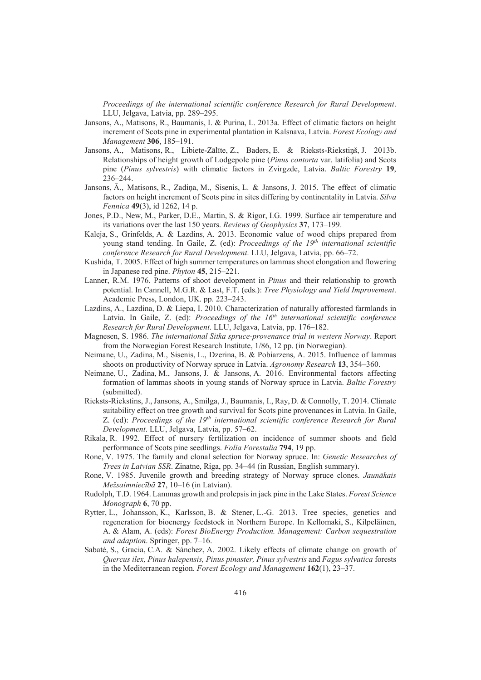*Proceedings of the international scientific conference Research for Rural Development*. LLU, Jelgava, Latvia, pp. 289–295.

- Jansons, A., Matisons, R., Baumanis, I. & Purina, L. 2013a. Effect of climatic factors on height increment of Scots pine in experimental plantation in Kalsnava, Latvia. *Forest Ecology and Management* **306**, 185–191.
- Jansons, A., Matisons, R., Libiete-Zālīte, Z., Baders, E. & Rieksts-Riekstiņš, J. 2013b. Relationships of height growth of Lodgepole pine (*Pinus contorta* var. latifolia) and Scots pine (*Pinus sylvestris*) with climatic factors in Zvirgzde, Latvia. *Baltic Forestry* **19**, 236–244.
- Jansons,  $\bar{A}$ ., Matisons, R., Zadina, M., Sisenis, L. & Jansons, J. 2015. The effect of climatic factors on height increment of Scots pine in sites differing by continentality in Latvia. *Silva Fennica* **49**(3), id 1262, 14 p.
- Jones, P.D., New, M., Parker, D.E., Martin, S. & Rigor, I.G. 1999. Surface air temperature and its variations over the last 150 years. *Reviews of Geophysics* **37**, 173–199.
- Kaleja, S., Grinfelds, A. & Lazdins, A. 2013. Economic value of wood chips prepared from young stand tending. In Gaile, Z. (ed): *Proceedings of the 19th international scientific conference Research for Rural Development*. LLU, Jelgava, Latvia, pp. 66–72.
- Kushida, T. 2005. Effect of high summer temperatures on lammas shoot elongation and flowering in Japanese red pine. *Phyton* **45**, 215–221.
- Lanner, R.M. 1976. Patterns of shoot development in *Pinus* and their relationship to growth potential. In Cannell, M.G.R. & Last, F.T. (eds.): *Tree Physiology and Yield Improvement*. Academic Press, London, UK. pp. 223–243.
- Lazdins, A., Lazdina, D. & Liepa, I. 2010. Characterization of naturally afforested farmlands in Latvia. In Gaile, Z. (ed): *Proceedings of the 16th international scientific conference Research for Rural Development*. LLU, Jelgava, Latvia, pp. 176–182.
- Magnesen, S. 1986. *The international Sitka spruce-provenance trial in western Norway*. Report from the Norwegian Forest Research Institute, 1/86, 12 pp. (in Norwegian).
- Neimane, U., Zadina, M., Sisenis, L., Dzerina, B. & Pobiarzens, A. 2015. Influence of lammas shoots on productivity of Norway spruce in Latvia. *Agronomy Research* **13**, 354–360.
- Neimane, U., Zadina, M., Jansons, J. & Jansons, A. 2016. Environmental factors affecting formation of lammas shoots in young stands of Norway spruce in Latvia. *Baltic Forestry* (submitted).
- Rieksts-Riekstins, J., Jansons, A., Smilga, J., Baumanis, I., Ray, D. & Connolly, T. 2014. Climate suitability effect on tree growth and survival for Scots pine provenances in Latvia. In Gaile, Z. (ed): *Proceedings of the 19th international scientific conference Research for Rural Development*. LLU, Jelgava, Latvia, pp. 57–62.
- Rikala, R. 1992. Effect of nursery fertilization on incidence of summer shoots and field performance of Scots pine seedlings. *Folia Forestalia* **794**, 19 pp.
- Rone, V. 1975. The family and clonal selection for Norway spruce. In: *Genetic Researches of Trees in Latvian SSR*. Zinatne, Riga, pp. 34–44 (in Russian, English summary).
- Rone, V. 1985. Juvenile growth and breeding strategy of Norway spruce clones. *Jaunkais Mežsaimniecb* **27**, 10–16 (in Latvian).
- Rudolph, T.D. 1964. Lammas growth and prolepsis in jack pine in the Lake States. *Forest Science Monograph* **6**, 70 pp.
- Rytter, L., Johansson, K., Karlsson, B. & Stener, L.-G. 2013. Tree species, genetics and regeneration for bioenergy feedstock in Northern Europe. In Kellomaki, S., Kilpeläinen, A. & Alam, A. (eds): *Forest BioEnergy Production. Management: Carbon sequestration and adaption*. Springer, pp. 7–16.
- Sabaté, S., Gracia, C.A. & Sánchez, A. 2002. Likely effects of climate change on growth of *Quercus ilex, Pinus halepensis, Pinus pinaster, Pinus sylvestris* and *Fagus sylvatica* forests in the Mediterranean region. *Forest Ecology and Management* **162**(1), 23–37.